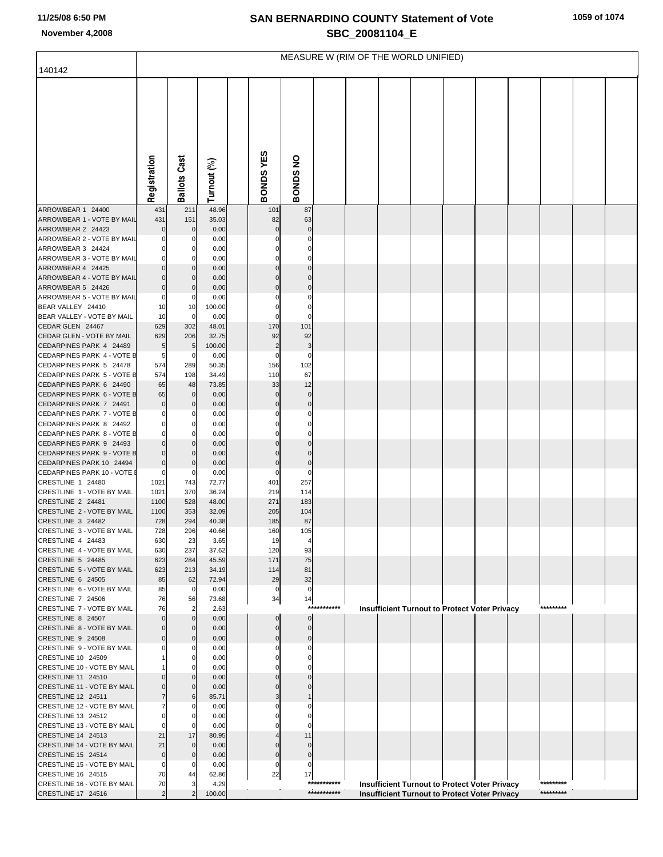## **SAN BERNARDINO COUNTY Statement of Vote November 4,2008 SBC\_20081104\_E**

|                                                        | MEASURE W (RIM OF THE WORLD UNIFIED) |                     |                |  |                         |                            |             |  |                                                                                                              |  |  |  |  |           |  |
|--------------------------------------------------------|--------------------------------------|---------------------|----------------|--|-------------------------|----------------------------|-------------|--|--------------------------------------------------------------------------------------------------------------|--|--|--|--|-----------|--|
| 140142                                                 |                                      |                     |                |  |                         |                            |             |  |                                                                                                              |  |  |  |  |           |  |
|                                                        | Registration                         | <b>Ballots Cast</b> | Turnout (%)    |  | BONDSYES                | BONDS NO                   |             |  |                                                                                                              |  |  |  |  |           |  |
|                                                        |                                      |                     |                |  |                         |                            |             |  |                                                                                                              |  |  |  |  |           |  |
| ARROWBEAR 1 24400                                      | 431                                  | 211                 | 48.96          |  | 101                     | 87                         |             |  |                                                                                                              |  |  |  |  |           |  |
| ARROWBEAR 1 - VOTE BY MAIL                             | 431                                  | 151                 | 35.03          |  | 82                      | 63                         |             |  |                                                                                                              |  |  |  |  |           |  |
| ARROWBEAR 2 24423                                      | 0                                    | $\mathbf 0$         | 0.00           |  | $\Omega$                |                            |             |  |                                                                                                              |  |  |  |  |           |  |
| ARROWBEAR 2 - VOTE BY MAIL                             | 0                                    | 0                   | 0.00           |  |                         | O                          |             |  |                                                                                                              |  |  |  |  |           |  |
| ARROWBEAR 3 24424<br>ARROWBEAR 3 - VOTE BY MAIL        | $\Omega$<br>$\Omega$                 | 0                   | 0.00           |  |                         | 0<br>0                     |             |  |                                                                                                              |  |  |  |  |           |  |
| ARROWBEAR 4 24425                                      |                                      | 0<br>0              | 0.00<br>0.00   |  |                         | 0                          |             |  |                                                                                                              |  |  |  |  |           |  |
| ARROWBEAR 4 - VOTE BY MAIL                             | $\Omega$                             | $\mathbf 0$         | 0.00           |  |                         |                            |             |  |                                                                                                              |  |  |  |  |           |  |
| ARROWBEAR 5 24426                                      | $\mathbf 0$                          | 0                   | 0.00           |  | 0                       | $\mathbf 0$                |             |  |                                                                                                              |  |  |  |  |           |  |
| ARROWBEAR 5 - VOTE BY MAIL                             | 0                                    | 0                   | 0.00           |  |                         | 0                          |             |  |                                                                                                              |  |  |  |  |           |  |
| BEAR VALLEY 24410                                      | 10                                   | 10                  | 100.00         |  | 0                       | $\Omega$                   |             |  |                                                                                                              |  |  |  |  |           |  |
| BEAR VALLEY - VOTE BY MAIL                             | 10                                   | $\mathbf 0$         | 0.00           |  | 0                       |                            |             |  |                                                                                                              |  |  |  |  |           |  |
| CEDAR GLEN 24467<br>CEDAR GLEN - VOTE BY MAIL          | 629<br>629                           | 302<br>206          | 48.01<br>32.75 |  | 170<br>92               | 101<br>92                  |             |  |                                                                                                              |  |  |  |  |           |  |
| CEDARPINES PARK 4 24489                                | 5                                    | 5                   | 100.00         |  | $\overline{c}$          | 3                          |             |  |                                                                                                              |  |  |  |  |           |  |
| CEDARPINES PARK 4 - VOTE B                             | 5                                    | 0                   | 0.00           |  | 0                       | 0                          |             |  |                                                                                                              |  |  |  |  |           |  |
| CEDARPINES PARK 5 24478                                | 574                                  | 289                 | 50.35          |  | 156                     | 102                        |             |  |                                                                                                              |  |  |  |  |           |  |
| CEDARPINES PARK 5 - VOTE B                             | 574                                  | 198                 | 34.49          |  | 110                     | 67                         |             |  |                                                                                                              |  |  |  |  |           |  |
| CEDARPINES PARK 6 24490<br>CEDARPINES PARK 6 - VOTE B  | 65                                   | 48                  | 73.85          |  | 33                      | 12                         |             |  |                                                                                                              |  |  |  |  |           |  |
| CEDARPINES PARK 7 24491                                | 65<br>$\mathbf 0$                    | $\mathbf 0$<br>0    | 0.00<br>0.00   |  | $\Omega$<br>$\mathbf 0$ | $\mathbf 0$<br>$\mathbf 0$ |             |  |                                                                                                              |  |  |  |  |           |  |
| CEDARPINES PARK 7 - VOTE B                             | 0                                    | 0                   | 0.00           |  |                         | 0                          |             |  |                                                                                                              |  |  |  |  |           |  |
| CEDARPINES PARK 8 24492                                | $\Omega$                             | 0                   | 0.00           |  |                         | 0                          |             |  |                                                                                                              |  |  |  |  |           |  |
| CEDARPINES PARK 8 - VOTE B                             | 0                                    | 0                   | 0.00           |  |                         |                            |             |  |                                                                                                              |  |  |  |  |           |  |
| CEDARPINES PARK 9 24493                                | $\Omega$                             | 0                   | 0.00           |  |                         |                            |             |  |                                                                                                              |  |  |  |  |           |  |
| CEDARPINES PARK 9 - VOTE B<br>CEDARPINES PARK 10 24494 | $\mathbf 0$                          | $\mathbf 0$         | 0.00           |  | $\mathbf 0$             | $\mathbf 0$                |             |  |                                                                                                              |  |  |  |  |           |  |
| CEDARPINES PARK 10 - VOTE I                            | $\mathbf 0$<br>0                     | 0<br>0              | 0.00<br>0.00   |  | 0                       | $\Omega$                   |             |  |                                                                                                              |  |  |  |  |           |  |
| CRESTLINE 1 24480                                      | 1021                                 | 743                 | 72.77          |  | 401                     | 257                        |             |  |                                                                                                              |  |  |  |  |           |  |
| CRESTLINE 1 - VOTE BY MAIL                             | 1021                                 | 370                 | 36.24          |  | 219                     | 114                        |             |  |                                                                                                              |  |  |  |  |           |  |
| CRESTLINE 2 24481                                      | 1100                                 | 528                 | 48.00          |  | 271                     | 183                        |             |  |                                                                                                              |  |  |  |  |           |  |
| CRESTLINE 2 - VOTE BY MAIL                             | 1100                                 | 353                 | 32.09          |  | 205                     | 104                        |             |  |                                                                                                              |  |  |  |  |           |  |
| CRESTLINE 3 24482<br>CRESTLINE 3 - VOTE BY MAIL        | 728<br>728                           | 294                 | 40.38          |  | 185                     | 87                         |             |  |                                                                                                              |  |  |  |  |           |  |
| CRESTLINE 4 24483                                      | 630                                  | 296<br>23           | 40.66<br>3.65  |  | 160<br>19               | 105<br>4                   |             |  |                                                                                                              |  |  |  |  |           |  |
| CRESTLINE 4 - VOTE BY MAIL                             | 630                                  | 237                 | 37.62          |  | 120                     | 93                         |             |  |                                                                                                              |  |  |  |  |           |  |
| CRESTLINE 5 24485                                      | 623                                  | 284                 | 45.59          |  | 171                     | 75                         |             |  |                                                                                                              |  |  |  |  |           |  |
| CRESTLINE 5 - VOTE BY MAIL                             | 623                                  | 213                 | 34.19          |  | 114                     | 81                         |             |  |                                                                                                              |  |  |  |  |           |  |
| CRESTLINE 6 24505                                      | 85                                   | 62                  | 72.94          |  | 29                      | 32                         |             |  |                                                                                                              |  |  |  |  |           |  |
| CRESTLINE 6 - VOTE BY MAIL<br>CRESTLINE 7 24506        | 85<br>76                             | $\mathbf 0$<br>56   | 0.00<br>73.68  |  | 0<br>34                 | 0<br>14                    |             |  |                                                                                                              |  |  |  |  |           |  |
| CRESTLINE 7 - VOTE BY MAIL                             | 76                                   | $\overline{2}$      | 2.63           |  |                         |                            | *********** |  | <b>Insufficient Turnout to Protect Voter Privacy</b>                                                         |  |  |  |  | ********* |  |
| CRESTLINE 8 24507                                      | $\Omega$                             | $\mathbf 0$         | 0.00           |  | $\Omega$                | $\mathbf{0}$               |             |  |                                                                                                              |  |  |  |  |           |  |
| CRESTLINE 8 - VOTE BY MAIL                             | $\Omega$                             | $\mathbf 0$         | 0.00           |  | 0                       | 0                          |             |  |                                                                                                              |  |  |  |  |           |  |
| CRESTLINE 9 24508                                      |                                      | $\Omega$            | 0.00           |  | 0                       | 0                          |             |  |                                                                                                              |  |  |  |  |           |  |
| CRESTLINE 9 - VOTE BY MAIL<br>CRESTLINE 10 24509       |                                      | $\Omega$<br>0       | 0.00<br>0.00   |  | n                       | 0                          |             |  |                                                                                                              |  |  |  |  |           |  |
| CRESTLINE 10 - VOTE BY MAIL                            |                                      | $\Omega$            | 0.00           |  |                         |                            |             |  |                                                                                                              |  |  |  |  |           |  |
| CRESTLINE 11 24510                                     |                                      | $\Omega$            | 0.00           |  |                         |                            |             |  |                                                                                                              |  |  |  |  |           |  |
| CRESTLINE 11 - VOTE BY MAIL                            |                                      | $\Omega$            | 0.00           |  |                         |                            |             |  |                                                                                                              |  |  |  |  |           |  |
| CRESTLINE 12 24511                                     |                                      | 6                   | 85.71          |  | 3                       |                            |             |  |                                                                                                              |  |  |  |  |           |  |
| CRESTLINE 12 - VOTE BY MAIL<br>CRESTLINE 13 24512      |                                      | 0                   | 0.00           |  |                         |                            |             |  |                                                                                                              |  |  |  |  |           |  |
| CRESTLINE 13 - VOTE BY MAIL                            |                                      | 0<br>0              | 0.00<br>0.00   |  |                         |                            |             |  |                                                                                                              |  |  |  |  |           |  |
| CRESTLINE 14 24513                                     | 21                                   | 17                  | 80.95          |  |                         | 11                         |             |  |                                                                                                              |  |  |  |  |           |  |
| CRESTLINE 14 - VOTE BY MAIL                            | 21                                   | $\mathbf{0}$        | 0.00           |  |                         | $\Omega$                   |             |  |                                                                                                              |  |  |  |  |           |  |
| CRESTLINE 15 24514                                     | $\mathbf 0$                          | $\mathbf 0$         | 0.00           |  | $\Omega$                | $\mathbf 0$                |             |  |                                                                                                              |  |  |  |  |           |  |
| CRESTLINE 15 - VOTE BY MAIL                            | $\Omega$                             | 0                   | 0.00           |  | 0                       | 0                          |             |  |                                                                                                              |  |  |  |  |           |  |
| CRESTLINE 16 24515                                     | 70                                   | 44                  | 62.86          |  | 22                      | 17                         | *********** |  |                                                                                                              |  |  |  |  | ********* |  |
| CRESTLINE 16 - VOTE BY MAIL<br>CRESTLINE 17 24516      | 70<br>$\overline{c}$                 | 3                   | 4.29<br>100.00 |  |                         |                            | *********** |  | <b>Insufficient Turnout to Protect Voter Privacy</b><br><b>Insufficient Turnout to Protect Voter Privacy</b> |  |  |  |  | ********* |  |
|                                                        |                                      |                     |                |  |                         |                            |             |  |                                                                                                              |  |  |  |  |           |  |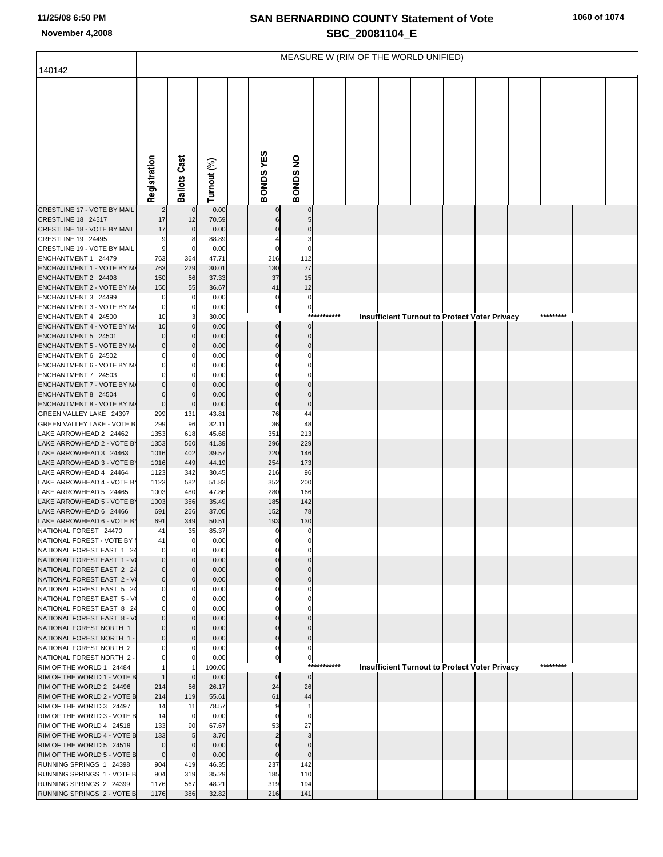## **SAN BERNARDINO COUNTY Statement of Vote November 4,2008 SBC\_20081104\_E**

|                                                             | MEASURE W (RIM OF THE WORLD UNIFIED) |                      |                |  |                |                        |  |  |                                                      |  |  |  |  |  |
|-------------------------------------------------------------|--------------------------------------|----------------------|----------------|--|----------------|------------------------|--|--|------------------------------------------------------|--|--|--|--|--|
| 140142                                                      |                                      |                      |                |  |                |                        |  |  |                                                      |  |  |  |  |  |
|                                                             | Registration                         | <b>Ballots Cast</b>  | Turnout (%)    |  | BONDS YES      | BONDS NO               |  |  |                                                      |  |  |  |  |  |
| CRESTLINE 17 - VOTE BY MAIL                                 |                                      | $\mathbf 0$          | 0.00           |  |                |                        |  |  |                                                      |  |  |  |  |  |
| CRESTLINE 18 24517                                          | 17                                   | 12                   | 70.59          |  |                |                        |  |  |                                                      |  |  |  |  |  |
| CRESTLINE 18 - VOTE BY MAIL                                 | 17                                   | $\mathbf 0$          | 0.00           |  |                |                        |  |  |                                                      |  |  |  |  |  |
| CRESTLINE 19 24495                                          | 9                                    |                      | 88.89          |  |                |                        |  |  |                                                      |  |  |  |  |  |
| CRESTLINE 19 - VOTE BY MAIL<br>ENCHANTMENT 1 24479          | 9<br>763                             | $\mathbf 0$<br>364   | 0.00<br>47.71  |  | 216            | $\Omega$<br>112        |  |  |                                                      |  |  |  |  |  |
| ENCHANTMENT 1 - VOTE BY M/                                  | 763                                  | 229                  | 30.01          |  | 130            | 77                     |  |  |                                                      |  |  |  |  |  |
| ENCHANTMENT 2 24498                                         | 150                                  | 56                   | 37.33          |  | 37             | 15                     |  |  |                                                      |  |  |  |  |  |
| ENCHANTMENT 2 - VOTE BY M/                                  | 150                                  | 55                   | 36.67          |  | 41             | 12                     |  |  |                                                      |  |  |  |  |  |
| ENCHANTMENT 3 24499                                         | 0                                    | 0                    | 0.00           |  | 0              | 0                      |  |  |                                                      |  |  |  |  |  |
| ENCHANTMENT 3 - VOTE BY M/<br>ENCHANTMENT 4 24500           | $\mathbf 0$<br>10                    | 0                    | 0.00<br>30.00  |  | $\pmb{0}$      | $\overline{0}$<br>**** |  |  | <b>Insufficient Turnout to Protect Voter Privacy</b> |  |  |  |  |  |
| ENCHANTMENT 4 - VOTE BY M/                                  | 10                                   |                      | 0.00           |  | $\Omega$       | $\mathbf 0$            |  |  |                                                      |  |  |  |  |  |
| ENCHANTMENT 5 24501                                         | $\mathbf 0$                          | $\Omega$             | 0.00           |  | $\mathbf 0$    | $\mathbf 0$            |  |  |                                                      |  |  |  |  |  |
| ENCHANTMENT 5 - VOTE BY M/                                  | $\mathbf 0$                          | $\Omega$             | 0.00           |  | $\Omega$       | $\Omega$               |  |  |                                                      |  |  |  |  |  |
| ENCHANTMENT 6 24502                                         | 0                                    |                      | 0.00           |  |                |                        |  |  |                                                      |  |  |  |  |  |
| ENCHANTMENT 6 - VOTE BY M/<br>ENCHANTMENT 7 24503           | $\mathbf 0$<br>$\Omega$              |                      | 0.00<br>0.00   |  |                |                        |  |  |                                                      |  |  |  |  |  |
| ENCHANTMENT 7 - VOTE BY M/                                  | $\Omega$                             |                      | 0.00           |  |                |                        |  |  |                                                      |  |  |  |  |  |
| ENCHANTMENT 8 24504                                         | $\mathbf 0$                          |                      | 0.00           |  |                |                        |  |  |                                                      |  |  |  |  |  |
| ENCHANTMENT 8 - VOTE BY M/                                  | $\mathbf 0$                          | $\mathbf 0$          | 0.00           |  | $\mathbf 0$    | $\mathbf 0$            |  |  |                                                      |  |  |  |  |  |
| GREEN VALLEY LAKE 24397                                     | 299                                  | 131                  | 43.81          |  | 76             | 44                     |  |  |                                                      |  |  |  |  |  |
| <b>GREEN VALLEY LAKE - VOTE B</b><br>LAKE ARROWHEAD 2 24462 | 299<br>1353                          | 96<br>618            | 32.11<br>45.68 |  | 36<br>351      | 48<br>213              |  |  |                                                      |  |  |  |  |  |
| LAKE ARROWHEAD 2 - VOTE B'                                  | 1353                                 | 560                  | 41.39          |  | 296            | 229                    |  |  |                                                      |  |  |  |  |  |
| LAKE ARROWHEAD 3 24463                                      | 1016                                 | 402                  | 39.57          |  | 220            | 146                    |  |  |                                                      |  |  |  |  |  |
| LAKE ARROWHEAD 3 - VOTE B'                                  | 1016                                 | 449                  | 44.19          |  | 254            | 173                    |  |  |                                                      |  |  |  |  |  |
| LAKE ARROWHEAD 4 24464                                      | 1123                                 | 342                  | 30.45          |  | 216            | 96                     |  |  |                                                      |  |  |  |  |  |
| LAKE ARROWHEAD 4 - VOTE B'<br>LAKE ARROWHEAD 5 24465        | 1123<br>1003                         | 582<br>480           | 51.83<br>47.86 |  | 352<br>280     | 200<br>166             |  |  |                                                      |  |  |  |  |  |
| LAKE ARROWHEAD 5 - VOTE B'                                  | 1003                                 | 356                  | 35.49          |  | 185            | 142                    |  |  |                                                      |  |  |  |  |  |
| LAKE ARROWHEAD 6 24466                                      | 691                                  | 256                  | 37.05          |  | 152            | 78                     |  |  |                                                      |  |  |  |  |  |
| LAKE ARROWHEAD 6 - VOTE B'                                  | 691                                  | 349                  | 50.51          |  | 193            | 130                    |  |  |                                                      |  |  |  |  |  |
| NATIONAL FOREST 24470                                       | 41                                   | 35                   | 85.37          |  | 0              | 0                      |  |  |                                                      |  |  |  |  |  |
| NATIONAL FOREST - VOTE BY I<br>NATIONAL FOREST EAST 1 24    | 41<br>$\mathbf 0$                    | $\overline{0}$<br>0  | 0.00<br>0.00   |  |                |                        |  |  |                                                      |  |  |  |  |  |
| NATIONAL FOREST EAST 1 - V                                  | $\mathbf 0$                          |                      | 0.00           |  |                |                        |  |  |                                                      |  |  |  |  |  |
| NATIONAL FOREST EAST 2 24                                   | $\mathbf 0$                          |                      | 0.00           |  |                |                        |  |  |                                                      |  |  |  |  |  |
| NATIONAL FOREST EAST 2 - V                                  | $\mathbf 0$                          | $\Omega$             | 0.00           |  |                | $\Omega$               |  |  |                                                      |  |  |  |  |  |
| NATIONAL FOREST EAST 5 24<br>NATIONAL FOREST EAST 5 - V     | 0<br>$\mathbf 0$                     | 0<br>$\Omega$        | 0.00<br>0.00   |  |                |                        |  |  |                                                      |  |  |  |  |  |
| NATIONAL FOREST EAST 8 24                                   |                                      |                      | 0.00           |  |                |                        |  |  |                                                      |  |  |  |  |  |
| NATIONAL FOREST EAST 8 - V                                  | $\mathbf 0$                          |                      | 0.00           |  |                |                        |  |  |                                                      |  |  |  |  |  |
| NATIONAL FOREST NORTH 1                                     | $\mathbf 0$                          |                      | 0.00           |  |                |                        |  |  |                                                      |  |  |  |  |  |
| NATIONAL FOREST NORTH 1                                     | $\mathbf 0$                          |                      | 0.00           |  | $\Omega$       | $\Omega$               |  |  |                                                      |  |  |  |  |  |
| NATIONAL FOREST NORTH 2<br>NATIONAL FOREST NORTH 2 -        |                                      |                      | 0.00<br>0.00   |  | 0<br>$\pmb{0}$ | $\pmb{0}$              |  |  |                                                      |  |  |  |  |  |
| RIM OF THE WORLD 1 24484                                    |                                      |                      | 100.00         |  |                | $***$                  |  |  | <b>Insufficient Turnout to Protect Voter Privacy</b> |  |  |  |  |  |
| RIM OF THE WORLD 1 - VOTE B                                 |                                      | $\mathbf{0}$         | 0.00           |  | $\Omega$       | $\mathbf 0$            |  |  |                                                      |  |  |  |  |  |
| RIM OF THE WORLD 2 24496                                    | 214                                  | 56                   | 26.17          |  | 24             | 26                     |  |  |                                                      |  |  |  |  |  |
| RIM OF THE WORLD 2 - VOTE B                                 | 214                                  | 119                  | 55.61          |  | 61             | 44                     |  |  |                                                      |  |  |  |  |  |
| RIM OF THE WORLD 3 24497<br>RIM OF THE WORLD 3 - VOTE B     | 14<br>14                             | 11<br>$\overline{0}$ | 78.57<br>0.00  |  | 9<br>$\Omega$  | $\Omega$               |  |  |                                                      |  |  |  |  |  |
| RIM OF THE WORLD 4 24518                                    | 133                                  | 90                   | 67.67          |  | 53             | 27                     |  |  |                                                      |  |  |  |  |  |
| RIM OF THE WORLD 4 - VOTE B                                 | 133                                  |                      | 3.76           |  |                |                        |  |  |                                                      |  |  |  |  |  |
| RIM OF THE WORLD 5 24519                                    | $\mathbf 0$                          | 0                    | 0.00           |  |                | $\Omega$               |  |  |                                                      |  |  |  |  |  |
| RIM OF THE WORLD 5 - VOTE B                                 | $\mathbf 0$                          | $\mathbf 0$          | 0.00           |  | $\Omega$       | $\Omega$               |  |  |                                                      |  |  |  |  |  |
| RUNNING SPRINGS 1 24398<br>RUNNING SPRINGS 1 - VOTE B       | 904<br>904                           | 419<br>319           | 46.35<br>35.29 |  | 237<br>185     | 142<br>110             |  |  |                                                      |  |  |  |  |  |
| RUNNING SPRINGS 2 24399                                     | 1176                                 | 567                  | 48.21          |  | 319            | 194                    |  |  |                                                      |  |  |  |  |  |
| RUNNING SPRINGS 2 - VOTE B                                  | 1176                                 | 386                  | 32.82          |  | 216            | 141                    |  |  |                                                      |  |  |  |  |  |